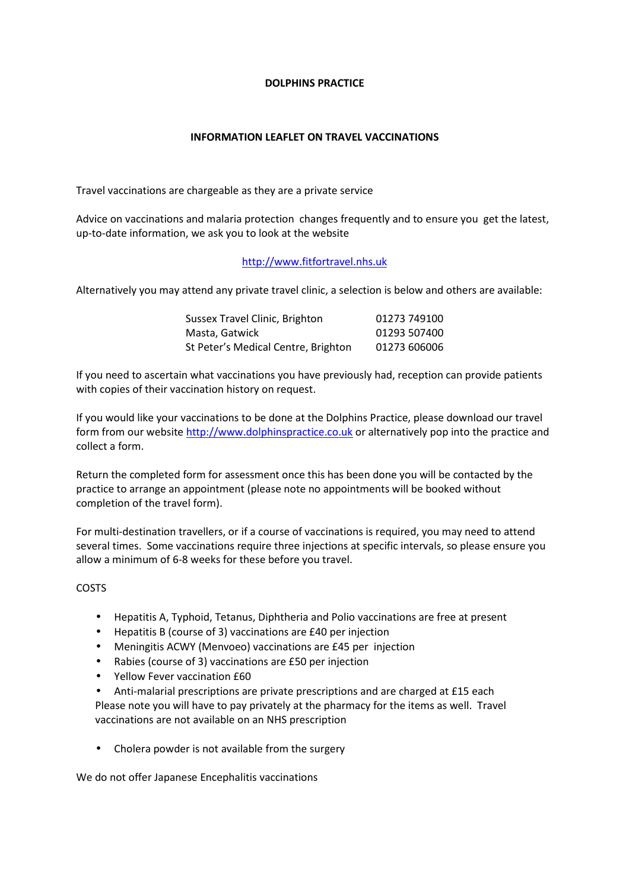### **DOLPHINS PRACTICE**

# **INFORMATION LEAFLET ON TRAVEL VACCINATIONS**

Travel vaccinations are chargeable as they are a private service

Advice on vaccinations and malaria protection changes frequently and to ensure you get the latest, up-to-date information, we ask you to look at the website

# http://www.fitfortravel.nhs.uk

Alternatively you may attend any private travel clinic, a selection is below and others are available:

| Sussex Travel Clinic, Brighton      | 01273 749100 |
|-------------------------------------|--------------|
| Masta, Gatwick                      | 01293 507400 |
| St Peter's Medical Centre, Brighton | 01273 606006 |

If you need to ascertain what vaccinations you have previously had, reception can provide patients with copies of their vaccination history on request.

If you would like your vaccinations to be done at the Dolphins Practice, please download our travel form from our website http://www.dolphinspractice.co.uk or alternatively pop into the practice and collect a form.

Return the completed form for assessment once this has been done you will be contacted by the practice to arrange an appointment (please note no appointments will be booked without completion of the travel form).

For multi-destination travellers, or if a course of vaccinations is required, you may need to attend several times. Some vaccinations require three injections at specific intervals, so please ensure you allow a minimum of 6-8 weeks for these before you travel.

# COSTS

- Hepatitis A, Typhoid, Tetanus, Diphtheria and Polio vaccinations are free at present
- Hepatitis B (course of 3) vaccinations are £40 per injection
- Meningitis ACWY (Menvoeo) vaccinations are £45 per injection
- Rabies (course of 3) vaccinations are £50 per injection
- Yellow Fever vaccination £60
- Anti-malarial prescriptions are private prescriptions and are charged at £15 each Please note you will have to pay privately at the pharmacy for the items as well. Travel vaccinations are not available on an NHS prescription
- Cholera powder is not available from the surgery

We do not offer Japanese Encephalitis vaccinations